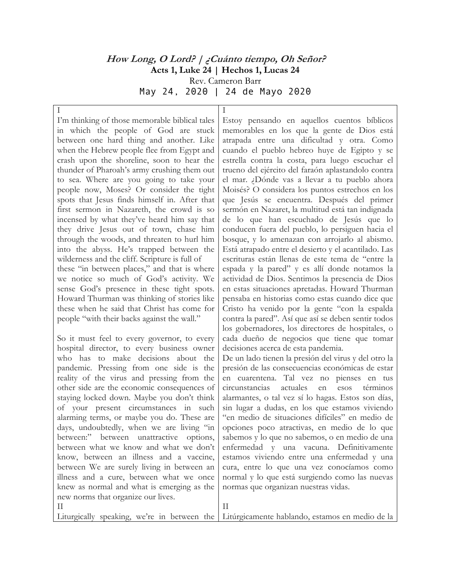## **How Long, O Lord? | ¿Cuánto tiempo, Oh Señor? Acts 1, Luke 24 | Hechos 1, Lucas 24** Rev. Cameron Barr May 24, 2020 | 24 de Mayo 2020

I I'm thinking of those memorable biblical tales in which the people of God are stuck between one hard thing and another. Like when the Hebrew people flee from Egypt and crash upon the shoreline, soon to hear the thunder of Pharoah's army crushing them out to sea. Where are you going to take your people now, Moses? Or consider the tight spots that Jesus finds himself in. After that first sermon in Nazareth, the crowd is so incensed by what they've heard him say that they drive Jesus out of town, chase him through the woods, and threaten to hurl him into the abyss. He's trapped between the wilderness and the cliff. Scripture is full of these "in between places," and that is where we notice so much of God's activity. We sense God's presence in these tight spots. Howard Thurman was thinking of stories like these when he said that Christ has come for people "with their backs against the wall."

So it must feel to every governor, to every hospital director, to every business owner who has to make decisions about the pandemic. Pressing from one side is the reality of the virus and pressing from the other side are the economic consequences of staying locked down. Maybe you don't think of your present circumstances in such alarming terms, or maybe you do. These are days, undoubtedly, when we are living "in between:" between unattractive options, between what we know and what we don't know, between an illness and a vaccine, between We are surely living in between an illness and a cure, between what we once knew as normal and what is emerging as the new norms that organize our lives.

II

I Estoy pensando en aquellos cuentos bíblicos memorables en los que la gente de Dios está atrapada entre una dificultad y otra. Como cuando el pueblo hebreo huye de Egipto y se estrella contra la costa, para luego escuchar el trueno del ejército del faraón aplastandolo contra el mar. ¿Dónde vas a llevar a tu pueblo ahora Moisés? O considera los puntos estrechos en los que Jesús se encuentra. Después del primer sermón en Nazaret, la multitud está tan indignada de lo que han escuchado de Jesús que lo conducen fuera del pueblo, lo persiguen hacia el bosque, y lo amenazan con arrojarlo al abismo. Está atrapado entre el desierto y el acantilado. Las escrituras están llenas de este tema de "entre la espada y la pared" y es allí donde notamos la actividad de Dios. Sentimos la presencia de Dios en estas situaciones apretadas. Howard Thurman pensaba en historias como estas cuando dice que Cristo ha venido por la gente "con la espalda contra la pared". Así que así se deben sentir todos los gobernadores, los directores de hospitales, o cada dueño de negocios que tiene que tomar decisiones acerca de esta pandemia.

De un lado tienen la presión del virus y del otro la presión de las consecuencias económicas de estar en cuarentena. Tal vez no pienses en tus circunstancias actuales en esos términos alarmantes, o tal vez sí lo hagas. Estos son días, sin lugar a dudas, en los que estamos viviendo "en medio de situaciones difíciles" en medio de opciones poco atractivas, en medio de lo que sabemos y lo que no sabemos, o en medio de una enfermedad y una vacuna. Definitivamente estamos viviendo entre una enfermedad y una cura, entre lo que una vez conocíamos como normal y lo que está surgiendo como las nuevas normas que organizan nuestras vidas.

Liturgically speaking, we're in between the II Litúrgicamente hablando, estamos en medio de la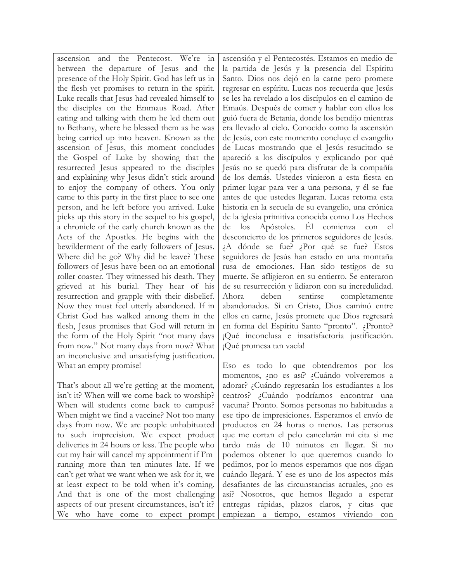ascension and the Pentecost. We're in between the departure of Jesus and the presence of the Holy Spirit. God has left us in the flesh yet promises to return in the spirit. Luke recalls that Jesus had revealed himself to the disciples on the Emmaus Road. After eating and talking with them he led them out to Bethany, where he blessed them as he was being carried up into heaven. Known as the ascension of Jesus, this moment concludes the Gospel of Luke by showing that the resurrected Jesus appeared to the disciples and explaining why Jesus didn't stick around to enjoy the company of others. You only came to this party in the first place to see one person, and he left before you arrived. Luke picks up this story in the sequel to his gospel, a chronicle of the early church known as the Acts of the Apostles. He begins with the bewilderment of the early followers of Jesus. Where did he go? Why did he leave? These followers of Jesus have been on an emotional roller coaster. They witnessed his death. They grieved at his burial. They hear of his resurrection and grapple with their disbelief. Now they must feel utterly abandoned. If in Christ God has walked among them in the flesh, Jesus promises that God will return in the form of the Holy Spirit "not many days from now." Not many days from now? What an inconclusive and unsatisfying justification. What an empty promise!

That's about all we're getting at the moment, isn't it? When will we come back to worship? When will students come back to campus? When might we find a vaccine? Not too many days from now. We are people unhabituated to such imprecision. We expect product deliveries in 24 hours or less. The people who cut my hair will cancel my appointment if I'm running more than ten minutes late. If we can't get what we want when we ask for it, we at least expect to be told when it's coming. And that is one of the most challenging aspects of our present circumstances, isn't it? We who have come to expect prompt

ascensión y el Pentecostés. Estamos en medio de la partida de Jesús y la presencia del Espíritu Santo. Dios nos dejó en la carne pero promete regresar en espíritu. Lucas nos recuerda que Jesús se les ha revelado a los discípulos en el camino de Emaús. Después de comer y hablar con ellos los guió fuera de Betania, donde los bendijo mientras era llevado al cielo. Conocido como la ascensión de Jesús, con este momento concluye el evangelio de Lucas mostrando que el Jesús resucitado se apareció a los discípulos y explicando por qué Jesús no se quedó para disfrutar de la compañía de los demás. Ustedes vinieron a esta fiesta en primer lugar para ver a una persona, y él se fue antes de que ustedes llegaran. Lucas retoma esta historia en la secuela de su evangelio, una crónica de la iglesia primitiva conocida como Los Hechos de los Apóstoles. Él comienza con el desconcierto de los primeros seguidores de Jesús. ¿A dónde se fue? ¿Por qué se fue? Estos seguidores de Jesús han estado en una montaña rusa de emociones. Han sido testigos de su muerte. Se afligieron en su entierro. Se enteraron de su resurrección y lidiaron con su incredulidad. Ahora deben sentirse completamente abandonados. Si en Cristo, Dios caminó entre ellos en carne, Jesús promete que Dios regresará en forma del Espíritu Santo "pronto". ¿Pronto? ¡Qué inconclusa e insatisfactoria justificación. ¡Qué promesa tan vacía!

Eso es todo lo que obtendremos por los momentos, ¿no es así? ¿Cuándo volveremos a adorar? ¿Cuándo regresarán los estudiantes a los centros? ¿Cuándo podríamos encontrar una vacuna? Pronto. Somos personas no habituadas a ese tipo de impresiciones. Esperamos el envío de productos en 24 horas o menos. Las personas que me cortan el pelo cancelarán mi cita si me tardo más de 10 minutos en llegar. Si no podemos obtener lo que queremos cuando lo pedimos, por lo menos esperamos que nos digan cuándo llegará. Y ese es uno de los aspectos más desafiantes de las circunstancias actuales, ¿no es así? Nosotros, que hemos llegado a esperar entregas rápidas, plazos claros, y citas que empiezan a tiempo, estamos viviendo con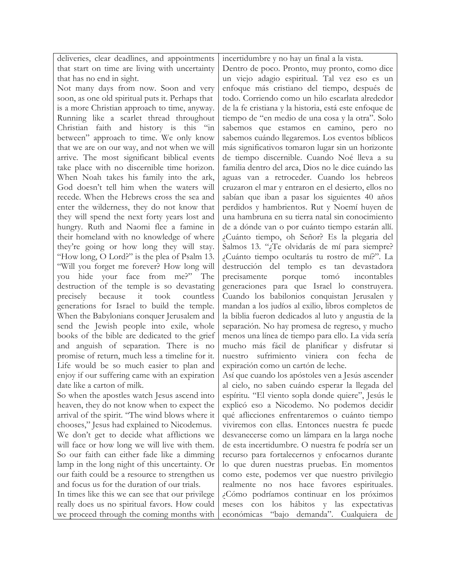deliveries, clear deadlines, and appointments that start on time are living with uncertainty that has no end in sight.

Not many days from now. Soon and very soon, as one old spiritual puts it. Perhaps that is a more Christian approach to time, anyway. Running like a scarlet thread throughout Christian faith and history is this "in between" approach to time. We only know that we are on our way, and not when we will arrive. The most significant biblical events take place with no discernible time horizon. When Noah takes his family into the ark, God doesn't tell him when the waters will recede. When the Hebrews cross the sea and enter the wilderness, they do not know that they will spend the next forty years lost and hungry. Ruth and Naomi flee a famine in their homeland with no knowledge of where they're going or how long they will stay. "How long, O Lord?" is the plea of Psalm 13. "Will you forget me forever? How long will you hide your face from me?" The destruction of the temple is so devastating precisely because it took countless generations for Israel to build the temple. When the Babylonians conquer Jerusalem and send the Jewish people into exile, whole books of the bible are dedicated to the grief and anguish of separation. There is no promise of return, much less a timeline for it. Life would be so much easier to plan and enjoy if our suffering came with an expiration date like a carton of milk.

So when the apostles watch Jesus ascend into heaven, they do not know when to expect the arrival of the spirit. "The wind blows where it chooses," Jesus had explained to Nicodemus. We don't get to decide what afflictions we will face or how long we will live with them. So our faith can either fade like a dimming lamp in the long night of this uncertainty. Or our faith could be a resource to strengthen us and focus us for the duration of our trials.

In times like this we can see that our privilege really does us no spiritual favors. How could we proceed through the coming months with incertidumbre y no hay un final a la vista.

Dentro de poco. Pronto, muy pronto, como dice un viejo adagio espiritual. Tal vez eso es un enfoque más cristiano del tiempo, después de todo. Corriendo como un hilo escarlata alrededor de la fe cristiana y la historia, está este enfoque de tiempo de "en medio de una cosa y la otra". Solo sabemos que estamos en camino, pero no sabemos cuándo llegaremos. Los eventos bíblicos más significativos tomaron lugar sin un horizonte de tiempo discernible. Cuando Noé lleva a su familia dentro del arca, Dios no le dice cuándo las aguas van a retroceder. Cuando los hebreos cruzaron el mar y entraron en el desierto, ellos no sabían que iban a pasar los siguientes 40 años perdidos y hambrientos. Rut y Noemí huyen de una hambruna en su tierra natal sin conocimiento de a dónde van o por cuánto tiempo estarán allí. ¿Cuánto tiempo, oh Señor? Es la plegaria del Salmos 13. "¿Te olvidarás de mí para siempre? ¿Cuánto tiempo ocultarás tu rostro de mí?". La destrucción del templo es tan devastadora precisamente porque tomó incontables generaciones para que Israel lo construyera. Cuando los babilonios conquistan Jerusalen y mandan a los judíos al exilio, libros completos de la biblia fueron dedicados al luto y angustia de la separación. No hay promesa de regreso, y mucho menos una línea de tiempo para ello. La vida sería mucho más fácil de planificar y disfrutar si nuestro sufrimiento viniera con fecha de expiración como un cartón de leche.

Así que cuando los apóstoles ven a Jesús ascender al cielo, no saben cuándo esperar la llegada del espíritu. "El viento sopla donde quiere", Jesús le explicó eso a Nicodemo. No podemos decidir qué aflicciones enfrentaremos o cuánto tiempo viviremos con ellas. Entonces nuestra fe puede desvanecerse como un lámpara en la larga noche de esta incertidumbre. O nuestra fe podría ser un recurso para fortalecernos y enfocarnos durante lo que duren nuestras pruebas. En momentos como este, podemos ver que nuestro privilegio realmente no nos hace favores espirituales. ¿Cómo podríamos continuar en los próximos meses con los hábitos y las expectativas económicas "bajo demanda". Cualquiera de